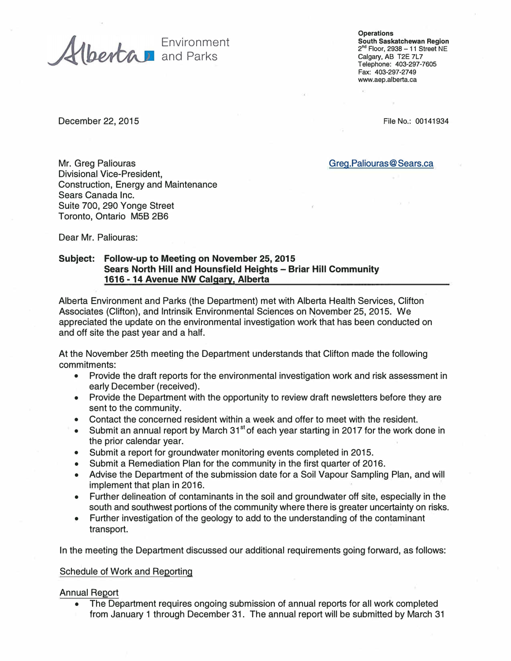and Parks **Calgary, AB T2E 7L7** 

**Operations**  Environment **South Saskatchewan Region 2nd Floor, 2938 - 11 Street NE Telephone: 403-297-7605 Fax: 403-297-2749 www.aep.alberta.ca** 

December 22, 2015 **File No.: 00141934** 

Mr. Greg Paliouras Greg.Paliouras Greg.Paliouras Greg.Paliouras Greg.Paliouras Greg.Paliouras Greg. Divisional Vice-President, Construction, Energy and Maintenance Sears Canada Inc. Suite 700, 290 Yonge Street Toronto, Ontario MSB 2B6

Dear Mr. Paliouras:

# **Subject: Follow-up to Meeting on November 25, 2015 Sears North Hill and Hounsfield Heights - Briar Hill Community 1616 -14 Avenue NW Calgary, Alberta**

Alberta Environment and Parks (the Department) met with Alberta Health Services, Clifton Associates (Clifton), and lntrinsik Environmental Sciences on November 25, 2015. We appreciated the update on the environmental investigation work that has been conducted on and off site the past year and a half.

At the November 25th meeting the Department understands that Clifton made the following commitments:

- Provide the draft reports for the environmental investigation work and risk assessment in early December (received).
- Provide the Department with the opportunity to review draft newsletters before they are sent to the community.
- Contact the concerned resident within a week and offer to meet with the resident.
- Submit an annual report by March 31<sup>st</sup> of each year starting in 2017 for the work done in the prior calendar year.
- Submit a report for groundwater monitoring events completed in 2015.
- Submit a Remediation Plan for the community in the first quarter of 2016.
- Advise the Department of the submission date for a Soil Vapour Sampling Plan, and will implement that plan in 2016.
- Further delineation of contaminants in the soil and groundwater off site, especially in the south and southwest portions of the community where there is greater uncertainty on risks.
- Further investigation of the geology to add to the understanding of the contaminant transport.

In the meeting the Department discussed our additional requirements going forward, as follows:

#### Schedule of Work and Reporting

#### Annual Report

• The Department requires ongoing submission of annual reports for all work completed from January 1 through December 31. The annual report will be submitted by March 31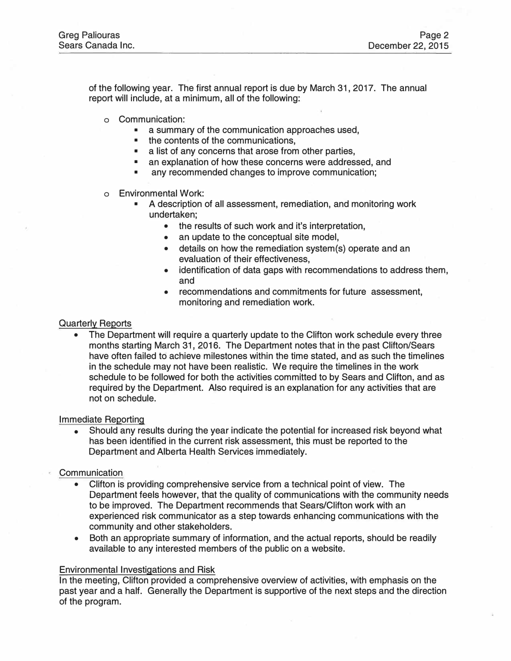of the following year. The first annual report is due by March 31, 2017. The annual report will include, at a minimum, all of the following:

- o Communication:
	- a summary of the communication approaches used,
	- the contents of the communications,
	- a list of any concerns that arose from other parties,
	- an explanation of how these concerns were addressed, and
	- any recommended changes to improve communication;
- o Environmental Work:
	- A description of all assessment, remediation, and monitoring work undertaken;
		- the results of such work and it's interpretation,
		- an update to the conceptual site model,
		- details on how the remediation system(s) operate and an evaluation of their effectiveness,
		- identification of data gaps with recommendations to address them, and
		- recommendations and commitments for future assessment, monitoring and remediation work.

### Quarterly Reports

• The Department will require a quarterly update to the Clifton work schedule every three months starting March 31, 2016. The Department notes that in the past Clifton/Sears have often failed to achieve milestones within the time stated, and as such the timelines in the schedule may not have been realistic. We require the timelines in the work schedule to be followed for both the activities committed to by Sears and Clifton, and as required by the Department. Also required is an explanation for any activities that are not on schedule.

#### Immediate Reporting

• Should any results during the year indicate the potential for increased risk beyond what has been identified in the current risk assessment, this must be reported to the Department and Alberta Health Services immediately.

# **Communication**

- Clifton is providing comprehensive service from a technical point of view. The Department feels however, that the quality of communications with the community needs to be improved. The Department recommends that Sears/Clifton work with an experienced risk communicator as a step towards enhancing communications with the community and other stakeholders.
- Both an appropriate summary of information, and the actual reports, should be readily available to any interested members of the public on a website.

### Environmental Investigations and Risk

In the meeting, Clifton provided a comprehensive overview of activities, with emphasis on the past year and a half. Generally the Department is supportive of the next steps and the direction of the program.